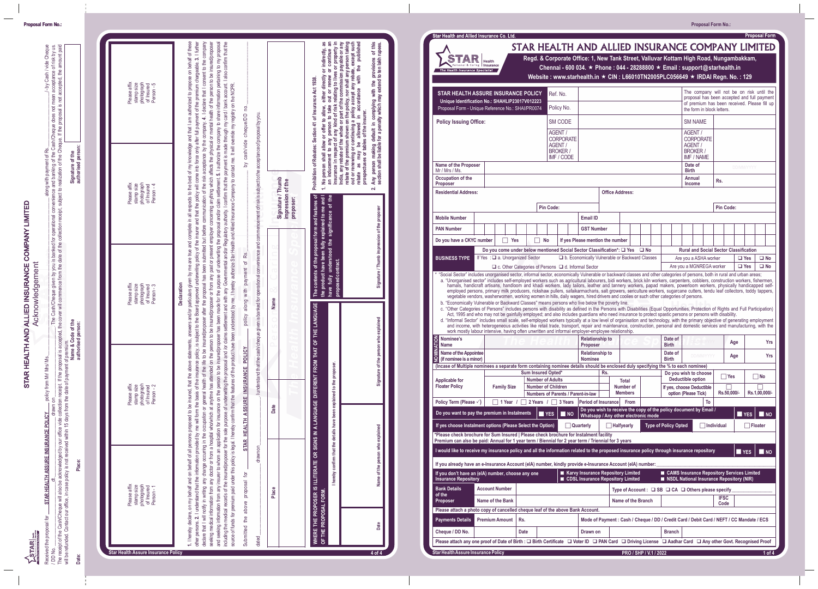| ์ Star Health and Allied Insurance Co. Ltd. |  |
|---------------------------------------------|--|
|                                             |  |



|                                                                                                                                                                                                                                                                                                                                                                                                                                                                      |                       |                                                      |                                                                                                                                                                                                                                                                                                                                                                                                                                         |                                      |                    |                        |                                                                                           | <b>Proposal Form No.:</b>                                                                                                                |                          |                              |
|----------------------------------------------------------------------------------------------------------------------------------------------------------------------------------------------------------------------------------------------------------------------------------------------------------------------------------------------------------------------------------------------------------------------------------------------------------------------|-----------------------|------------------------------------------------------|-----------------------------------------------------------------------------------------------------------------------------------------------------------------------------------------------------------------------------------------------------------------------------------------------------------------------------------------------------------------------------------------------------------------------------------------|--------------------------------------|--------------------|------------------------|-------------------------------------------------------------------------------------------|------------------------------------------------------------------------------------------------------------------------------------------|--------------------------|------------------------------|
| Star Health and Allied Insurance Co. Ltd.                                                                                                                                                                                                                                                                                                                                                                                                                            |                       |                                                      | STAR HEALTH AND ALLIED INSURANCE COMPANY LIMITED                                                                                                                                                                                                                                                                                                                                                                                        |                                      |                    |                        |                                                                                           |                                                                                                                                          |                          | <b>Proposal Form</b>         |
| $\left \mathbf{TAR}\right _{\tiny \sf{Health}}$                                                                                                                                                                                                                                                                                                                                                                                                                      |                       |                                                      | Regd. & Corporate Office: 1, New Tank Street, Valluvar Kottam High Road, Nungambakkam,                                                                                                                                                                                                                                                                                                                                                  |                                      |                    |                        |                                                                                           |                                                                                                                                          |                          |                              |
| ersonal & Caring   Insurance<br>The Health Insurance Specialist                                                                                                                                                                                                                                                                                                                                                                                                      |                       |                                                      | Chennai - 600 034. $\star$ Phone : 044 - 28288800 $\star$ Email : support@starhealth.in<br>Website: www.starhealth.in ★ CIN: L66010TN2005PLC056649 ★ IRDAI Regn. No.: 129                                                                                                                                                                                                                                                               |                                      |                    |                        |                                                                                           |                                                                                                                                          |                          |                              |
|                                                                                                                                                                                                                                                                                                                                                                                                                                                                      |                       |                                                      |                                                                                                                                                                                                                                                                                                                                                                                                                                         |                                      |                    |                        |                                                                                           |                                                                                                                                          |                          |                              |
| STAR HEALTH ASSURE INSURANCE POLICY<br>Unique Identification No.: SHAHLIP23017V012223                                                                                                                                                                                                                                                                                                                                                                                |                       |                                                      | Ref. No.                                                                                                                                                                                                                                                                                                                                                                                                                                |                                      |                    |                        |                                                                                           | The company will not be on risk until the<br>proposal has been accepted and full payment<br>of premium has been received. Please fill up |                          |                              |
| Proposal Form - Unique Reference No.: SHAI/PR0074                                                                                                                                                                                                                                                                                                                                                                                                                    |                       |                                                      | Policy No.                                                                                                                                                                                                                                                                                                                                                                                                                              |                                      |                    |                        |                                                                                           | the form in block letters.                                                                                                               |                          |                              |
| <b>Policy Issuing Office:</b>                                                                                                                                                                                                                                                                                                                                                                                                                                        |                       |                                                      | <b>SM CODE</b>                                                                                                                                                                                                                                                                                                                                                                                                                          |                                      |                    |                        | <b>SM NAME</b>                                                                            |                                                                                                                                          |                          |                              |
|                                                                                                                                                                                                                                                                                                                                                                                                                                                                      |                       |                                                      | AGENT /<br><b>CORPORATE</b>                                                                                                                                                                                                                                                                                                                                                                                                             |                                      |                    |                        | AGENT /<br><b>CORPORATE</b>                                                               |                                                                                                                                          |                          |                              |
|                                                                                                                                                                                                                                                                                                                                                                                                                                                                      |                       |                                                      | AGENT /<br><b>BROKER /</b>                                                                                                                                                                                                                                                                                                                                                                                                              |                                      |                    |                        | AGENT /<br><b>BROKER /</b>                                                                |                                                                                                                                          |                          |                              |
| Name of the Proposer                                                                                                                                                                                                                                                                                                                                                                                                                                                 |                       |                                                      | IMF / CODE                                                                                                                                                                                                                                                                                                                                                                                                                              |                                      |                    |                        | IMF / NAME<br>Date of                                                                     |                                                                                                                                          | <b>DD/MM/YYYY</b>        |                              |
| Mr / Mrs / Ms.<br>Occupation of the                                                                                                                                                                                                                                                                                                                                                                                                                                  |                       |                                                      |                                                                                                                                                                                                                                                                                                                                                                                                                                         |                                      |                    |                        | <b>Birth</b><br>Annual                                                                    | Rs.                                                                                                                                      |                          |                              |
| Proposer<br><b>Residential Address:</b>                                                                                                                                                                                                                                                                                                                                                                                                                              |                       |                                                      |                                                                                                                                                                                                                                                                                                                                                                                                                                         | <b>Office Address:</b>               |                    |                        | <b>Income</b>                                                                             |                                                                                                                                          |                          |                              |
|                                                                                                                                                                                                                                                                                                                                                                                                                                                                      |                       |                                                      |                                                                                                                                                                                                                                                                                                                                                                                                                                         |                                      |                    |                        |                                                                                           |                                                                                                                                          |                          |                              |
| <b>Mobile Number</b>                                                                                                                                                                                                                                                                                                                                                                                                                                                 |                       | Pin Code:                                            | <b>Email ID</b>                                                                                                                                                                                                                                                                                                                                                                                                                         |                                      |                    |                        |                                                                                           | Pin Code:                                                                                                                                |                          |                              |
| <b>PAN Number</b>                                                                                                                                                                                                                                                                                                                                                                                                                                                    |                       |                                                      | <b>GST Number</b>                                                                                                                                                                                                                                                                                                                                                                                                                       |                                      |                    |                        |                                                                                           |                                                                                                                                          |                          |                              |
| Do you have a CKYC number                                                                                                                                                                                                                                                                                                                                                                                                                                            | $\Box$ Yes            | $\Box$ No                                            | If yes Please mention the number                                                                                                                                                                                                                                                                                                                                                                                                        |                                      |                    |                        |                                                                                           |                                                                                                                                          |                          |                              |
| BUSINESS TYPE   If Yes : a. Unorganized Sector                                                                                                                                                                                                                                                                                                                                                                                                                       |                       |                                                      | Do you come under below mentioned Social Sector Classification*: □ Yes □ No<br>D b. Economically Vulnerable or Backward Classes                                                                                                                                                                                                                                                                                                         |                                      |                    |                        |                                                                                           | <b>Rural and Social Sector Classification</b>                                                                                            |                          |                              |
|                                                                                                                                                                                                                                                                                                                                                                                                                                                                      |                       |                                                      | $\Box$ c. Other Categories of Persons $\Box$ d. Informal Sector                                                                                                                                                                                                                                                                                                                                                                         |                                      |                    |                        | Are you a ASHA worker<br>Are you a MGNREGA worker                                         |                                                                                                                                          | $\Box$ Yes<br>$\Box$ Yes | $\square$ No<br>$\square$ No |
| b. "Economically Vulnerable or Backward Classes" means persons who live below the poverty line.<br>c. "Other Categories of Persons" includes persons with disability as defined in the Persons with Disabilities (Equal Opportunities, Protection of Rights and Full Participation)<br>d. "Informal Sector" includes small scale, self-employed workers typically at a low level of organisation and technology, with the primary objective of generating employment |                       |                                                      | Act, 1995 and who may not be gainfully employed; and also includes guardians who need insurance to protect spastic persons or persons with disability.<br>and income, with heterogeneous activities like retail trade, transport, repair and maintenance, construction, personal and domestic services and manufacturing, with the<br>work mostly labour intensive, having often unwritten and informal employer-employee relationship. |                                      |                    |                        |                                                                                           |                                                                                                                                          |                          |                              |
| S Nominee's<br><b>E</b> Name                                                                                                                                                                                                                                                                                                                                                                                                                                         |                       |                                                      | <b>Proposer</b>                                                                                                                                                                                                                                                                                                                                                                                                                         | <b>Relationship to</b>               |                    |                        | Date of<br><b>Birth</b>                                                                   | Age                                                                                                                                      |                          | <b>Yrs</b>                   |
| Name of the Appointee<br>$\mathbf{P}$ (if nominee is a minor)                                                                                                                                                                                                                                                                                                                                                                                                        |                       |                                                      | <b>Nominee</b>                                                                                                                                                                                                                                                                                                                                                                                                                          | <b>Relationship to</b>               |                    |                        | Date of<br><b>Birth</b>                                                                   | <b>DIMMAYYYY</b><br>Age                                                                                                                  |                          | Yrs                          |
| (Incase of Multiple nominees a separate form containing nominee details should be enclosed duly specifying the % to each nominee)                                                                                                                                                                                                                                                                                                                                    |                       | Sum Insured Opted*                                   |                                                                                                                                                                                                                                                                                                                                                                                                                                         | Rs.                                  |                    |                        | Do you wish to choose                                                                     | $\Box$ Yes                                                                                                                               |                          | $\Box$ No                    |
| Applicable for<br><b>Floater Policy</b>                                                                                                                                                                                                                                                                                                                                                                                                                              | <b>Family Size</b>    | <b>Number of Adults</b><br><b>Number of Children</b> |                                                                                                                                                                                                                                                                                                                                                                                                                                         |                                      | Total<br>Number of |                        | Deductible option<br>If yes, choose Deductible                                            | $\Box$                                                                                                                                   |                          | П                            |
| Policy Term (Please $\sqrt{}$ )                                                                                                                                                                                                                                                                                                                                                                                                                                      |                       |                                                      | Numbers of Parents / Parent-in-law<br>1 Year / 2 Years / 3 Years   Period of Insurance From                                                                                                                                                                                                                                                                                                                                             |                                      | <b>Members</b>     |                        | option (Please Tick)                                                                      | Rs.50,000/-<br>To                                                                                                                        | Rs.1,00,000/-            |                              |
| Do you want to pay the premium in Instalments                                                                                                                                                                                                                                                                                                                                                                                                                        |                       |                                                      | $YES$ <b>N</b> NO                                                                                                                                                                                                                                                                                                                                                                                                                       |                                      |                    |                        | Do you wish to receive the copy of the policy document by Email /                         |                                                                                                                                          | $YES$ <b>M</b> NO        |                              |
| If yes choose Instalment options (Please Select the Option)                                                                                                                                                                                                                                                                                                                                                                                                          |                       |                                                      | Quarterly                                                                                                                                                                                                                                                                                                                                                                                                                               | Whatsapp / Any other electronic mode | Halfyearly         |                        | <b>Type of Policy Opted</b>                                                               | $\sqcap$ Individual                                                                                                                      | $\Box$ Floater           |                              |
| *Please check brochure for Sum Insured   Please check brochure for Instalment facility                                                                                                                                                                                                                                                                                                                                                                               |                       |                                                      |                                                                                                                                                                                                                                                                                                                                                                                                                                         |                                      |                    |                        |                                                                                           |                                                                                                                                          |                          |                              |
| Premium can also be paid: Annual for 1 year term / Biennial for 2 year term / Triennial for 3 years<br>I would like to receive my insurance policy and all the information related to the proposed insurance policy through insurance repository                                                                                                                                                                                                                     |                       |                                                      |                                                                                                                                                                                                                                                                                                                                                                                                                                         |                                      |                    |                        |                                                                                           |                                                                                                                                          | $YES$ <b>No</b>          |                              |
| If you already have an e-Insurance Account (eIA) number, kindly provide e-Insurance Account (eIA) number:                                                                                                                                                                                                                                                                                                                                                            |                       |                                                      |                                                                                                                                                                                                                                                                                                                                                                                                                                         |                                      |                    |                        |                                                                                           |                                                                                                                                          |                          |                              |
| If you don't have an (eIA) number, choose any one<br>Insurance Repository                                                                                                                                                                                                                                                                                                                                                                                            |                       |                                                      | ■ Karvy Insurance Repository Limited<br>CDSL Insurance Repository Limited                                                                                                                                                                                                                                                                                                                                                               |                                      |                    |                        | ■ CAMS Insurance Repository Services Limited<br>NSDL National Insurance Repository (NIR)  |                                                                                                                                          |                          |                              |
| <b>Bank Details</b>                                                                                                                                                                                                                                                                                                                                                                                                                                                  | <b>Account Number</b> |                                                      |                                                                                                                                                                                                                                                                                                                                                                                                                                         |                                      |                    |                        | Type of Account: $\Box$ SB $\Box$ CA $\Box$ Others please specify                         |                                                                                                                                          |                          |                              |
| of the<br><b>Proposer</b>                                                                                                                                                                                                                                                                                                                                                                                                                                            | Name of the Bank      |                                                      |                                                                                                                                                                                                                                                                                                                                                                                                                                         |                                      | Name of the Branch |                        |                                                                                           | <b>IFSC</b><br>Code                                                                                                                      |                          |                              |
| Please attach a photo copy of cancelled cheque leaf of the above Bank Account.<br>Payments Details Premium Amount Rs.                                                                                                                                                                                                                                                                                                                                                |                       |                                                      |                                                                                                                                                                                                                                                                                                                                                                                                                                         |                                      |                    |                        | Mode of Payment : Cash / Cheque / DD / Credit Card / Debit Card / NEFT / CC Mandate / ECS |                                                                                                                                          |                          |                              |
| Cheque / DD No.                                                                                                                                                                                                                                                                                                                                                                                                                                                      |                       | <b>Date</b>                                          | Drawn on                                                                                                                                                                                                                                                                                                                                                                                                                                |                                      |                    |                        | <b>Branch</b>                                                                             |                                                                                                                                          |                          |                              |
| Please attach any one proof of Date of Birth : □ Birth Certificate □ Voter ID □ PAN Card □ Driving License □ Aadhar Card □ Any other Govt. Recognised Proof                                                                                                                                                                                                                                                                                                          |                       |                                                      |                                                                                                                                                                                                                                                                                                                                                                                                                                         |                                      |                    |                        |                                                                                           |                                                                                                                                          |                          |                              |
| Star Health Assure Insurance Policy                                                                                                                                                                                                                                                                                                                                                                                                                                  |                       |                                                      |                                                                                                                                                                                                                                                                                                                                                                                                                                         |                                      |                    | PRO / SHP / V.1 / 2022 |                                                                                           |                                                                                                                                          |                          | $1$ of $4$                   |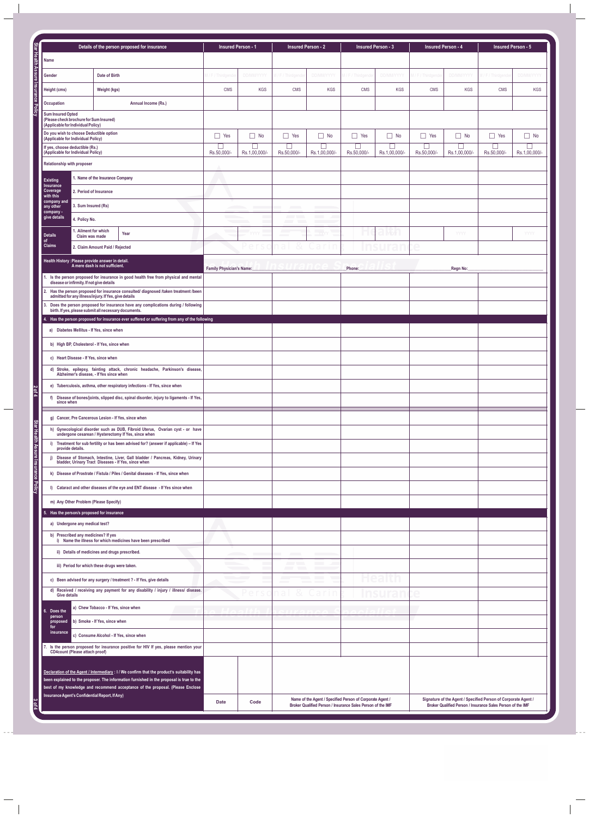|                                     |                                          |                                                                               |                                                                                                                                               | <b>Insured Person - 1</b> |                          |                                   |                          |                                         |                         |                           | Insured Person - 5 |                     |               |
|-------------------------------------|------------------------------------------|-------------------------------------------------------------------------------|-----------------------------------------------------------------------------------------------------------------------------------------------|---------------------------|--------------------------|-----------------------------------|--------------------------|-----------------------------------------|-------------------------|---------------------------|--------------------|---------------------|---------------|
| Star Health Assure Insurance Policy |                                          | Details of the person proposed for insurance                                  |                                                                                                                                               |                           |                          | <b>Insured Person - 2</b>         |                          | <b>Insured Person - 3</b>               |                         | <b>Insured Person - 4</b> |                    |                     |               |
|                                     | Name                                     |                                                                               |                                                                                                                                               |                           |                          |                                   |                          |                                         |                         |                           |                    |                     |               |
|                                     | Gender                                   |                                                                               | Date of Birth                                                                                                                                 | 1 / F / Thirdgende        | DD/MM/YYYY               | M / F / Thirdgender               | DD/MM/YYYY               | M / F / Thirdgende                      | DD/MM/YYYY              | M / F / Thirdgende        | DD/MM/YYYY         | M / F / Thirdgender | DD/MM/YYYY    |
|                                     | Height (cms)                             |                                                                               | Weight (kgs)                                                                                                                                  | <b>CMS</b>                | KGS                      | <b>CMS</b>                        | <b>KGS</b>               | CMS                                     | <b>KGS</b>              | <b>CMS</b>                | <b>KGS</b>         | <b>CMS</b>          | <b>KGS</b>    |
|                                     | Occupation                               |                                                                               | Annual Income (Rs.)                                                                                                                           |                           |                          |                                   |                          |                                         |                         |                           |                    |                     |               |
|                                     |                                          | Sum Insured Opted<br>(Please check brochure for Sum Insured)                  |                                                                                                                                               |                           |                          |                                   |                          |                                         |                         |                           |                    |                     |               |
|                                     |                                          | (Applicable for Individual Policy)                                            |                                                                                                                                               |                           |                          |                                   |                          |                                         |                         |                           |                    |                     |               |
|                                     |                                          | Do you wish to choose Deductible option<br>(Applicable for Individual Policy) |                                                                                                                                               | $\Box$ Yes                | $\Box$ No                | $\Box$ Yes                        | $\Box$ No                | $\Box$ Yes                              | $\Box$ No               | $\Box$ Yes                | $\Box$ No          | $\Box$ Yes          | $\Box$ No     |
|                                     |                                          | If yes, choose deductible (Rs.)<br>(Applicable for Individual Policy)         |                                                                                                                                               | П<br>Rs.50,000/-          | $\Box$<br>Rs.1,00,000/-  | $\Box$<br>Rs.50,000/-             | $\Box$<br>Rs.1,00,000/-  | $\overline{\phantom{a}}$<br>Rs.50,000/- | $\Box$<br>Rs.1,00,000/- | Rs.50,000/-               | Rs.1,00,000/-      | Rs.50,000/-         | Rs.1,00,000/- |
|                                     |                                          | Relationship with proposer                                                    |                                                                                                                                               |                           |                          |                                   |                          |                                         |                         |                           |                    |                     |               |
|                                     | 1. Name of the Insurance Company         |                                                                               |                                                                                                                                               |                           |                          |                                   |                          |                                         |                         |                           |                    |                     |               |
|                                     | <b>Existing</b><br>Insurance<br>Coverage |                                                                               | 2. Period of Insurance                                                                                                                        |                           |                          |                                   |                          |                                         |                         |                           |                    |                     |               |
|                                     | with this<br>company and                 |                                                                               |                                                                                                                                               |                           |                          |                                   |                          |                                         |                         |                           |                    |                     |               |
|                                     | any other<br>company -                   | 3. Sum Insured (Rs)                                                           |                                                                                                                                               |                           | <b>Contract Contract</b> | <b>Contract Contract Contract</b> | <b>Contract Contract</b> |                                         |                         |                           |                    |                     |               |
|                                     | give details                             | 4. Policy No.                                                                 |                                                                                                                                               |                           |                          |                                   |                          |                                         |                         |                           |                    |                     |               |
|                                     | <b>Details</b><br>of                     | 1. Ailment for which<br>Claim was made                                        | Year                                                                                                                                          |                           | YYYY                     | <b>Contract</b>                   | $\frac{1}{2}$ - YYYY     |                                         | <b>C</b> YYY            |                           | YYYY               |                     | <b>YYYY</b>   |
|                                     | <b>Claims</b>                            |                                                                               | 2. Claim Amount Paid / Rejected                                                                                                               |                           | e r                      | 改<br>n di                         | -ı n<br>car              |                                         | nsurar                  | e                         |                    |                     |               |
|                                     |                                          |                                                                               | Health History : Please provide answer in detail.                                                                                             |                           |                          |                                   |                          |                                         |                         |                           |                    |                     |               |
|                                     |                                          |                                                                               | A mere dash is not sufficient.<br>1. Is the person proposed for insurance in good health free from physical and mental                        | Family Physician's Name:  |                          |                                   |                          | Phone:                                  |                         |                           | _Regn No:          |                     |               |
|                                     |                                          | disease or infirmity. If not give details                                     |                                                                                                                                               |                           |                          |                                   |                          |                                         |                         |                           |                    |                     |               |
|                                     |                                          |                                                                               | 2. Has the person proposed for insurance consulted/ diagnosed /taken treatment /been<br>admitted for any illness/injury. If Yes, give details |                           |                          |                                   |                          |                                         |                         |                           |                    |                     |               |
|                                     | 3.                                       |                                                                               | Does the person proposed for insurance have any complications during / following<br>birth. If yes, please submit all necessary documents.     |                           |                          |                                   |                          |                                         |                         |                           |                    |                     |               |
|                                     |                                          |                                                                               | 4. Has the person proposed for insurance ever suffered or suffering from any of the following                                                 |                           |                          |                                   |                          |                                         |                         |                           |                    |                     |               |
|                                     |                                          |                                                                               | a) Diabetes Mellitus - If Yes, since when                                                                                                     |                           |                          |                                   |                          |                                         |                         |                           |                    |                     |               |
|                                     |                                          |                                                                               | b) High BP, Cholesterol - If Yes, since when                                                                                                  |                           |                          |                                   |                          |                                         |                         |                           |                    |                     |               |
|                                     |                                          | c) Heart Disease - If Yes, since when                                         |                                                                                                                                               |                           |                          |                                   |                          |                                         |                         |                           |                    |                     |               |
|                                     |                                          |                                                                               | d) Stroke, epilepsy, fainting attack, chronic headache, Parkinson's disease, Alzheimer's disease, If Yes since when                           |                           |                          |                                   |                          |                                         |                         |                           |                    |                     |               |
|                                     |                                          |                                                                               | e) Tuberculosis, asthma, other respiratory infections - If Yes, since when                                                                    |                           |                          |                                   |                          |                                         |                         |                           |                    |                     |               |
| $\frac{2 \text{ of } 4}{2}$         |                                          |                                                                               | f) Disease of bones/joints, slipped disc, spinal disorder, injury to ligaments - If Yes,                                                      |                           |                          |                                   |                          |                                         |                         |                           |                    |                     |               |
|                                     |                                          | since when                                                                    |                                                                                                                                               |                           |                          |                                   |                          |                                         |                         |                           |                    |                     |               |
|                                     |                                          |                                                                               |                                                                                                                                               |                           |                          |                                   |                          |                                         |                         |                           |                    |                     |               |
|                                     |                                          |                                                                               |                                                                                                                                               |                           |                          |                                   |                          |                                         |                         |                           |                    |                     |               |
|                                     |                                          |                                                                               |                                                                                                                                               |                           |                          |                                   |                          |                                         |                         |                           |                    |                     |               |
|                                     |                                          |                                                                               |                                                                                                                                               |                           |                          |                                   |                          |                                         |                         |                           |                    |                     |               |
|                                     |                                          |                                                                               |                                                                                                                                               |                           |                          |                                   |                          |                                         |                         |                           |                    |                     |               |
|                                     |                                          |                                                                               |                                                                                                                                               |                           |                          |                                   |                          |                                         |                         |                           |                    |                     |               |
|                                     |                                          |                                                                               |                                                                                                                                               |                           |                          |                                   |                          |                                         |                         |                           |                    |                     |               |
|                                     |                                          |                                                                               |                                                                                                                                               |                           |                          |                                   |                          |                                         |                         |                           |                    |                     |               |
|                                     |                                          |                                                                               |                                                                                                                                               |                           |                          |                                   |                          |                                         |                         |                           |                    |                     |               |
|                                     |                                          |                                                                               |                                                                                                                                               |                           |                          |                                   |                          |                                         |                         |                           |                    |                     |               |
|                                     |                                          |                                                                               |                                                                                                                                               |                           |                          |                                   |                          |                                         |                         |                           |                    |                     |               |
|                                     |                                          |                                                                               |                                                                                                                                               |                           |                          |                                   |                          |                                         |                         |                           |                    |                     |               |
|                                     |                                          |                                                                               |                                                                                                                                               |                           |                          |                                   |                          |                                         |                         |                           |                    |                     |               |
|                                     |                                          |                                                                               |                                                                                                                                               |                           |                          |                                   |                          |                                         |                         |                           |                    |                     |               |
|                                     |                                          |                                                                               |                                                                                                                                               |                           |                          |                                   |                          |                                         |                         |                           |                    |                     |               |
|                                     |                                          |                                                                               |                                                                                                                                               |                           |                          |                                   |                          |                                         |                         |                           |                    |                     |               |
|                                     |                                          |                                                                               |                                                                                                                                               |                           |                          |                                   |                          |                                         |                         |                           |                    |                     |               |
|                                     |                                          |                                                                               |                                                                                                                                               |                           |                          |                                   |                          |                                         |                         |                           |                    |                     |               |
|                                     |                                          |                                                                               |                                                                                                                                               |                           |                          |                                   |                          |                                         |                         |                           |                    |                     |               |
|                                     |                                          |                                                                               |                                                                                                                                               |                           |                          |                                   |                          |                                         |                         |                           |                    |                     |               |
|                                     |                                          |                                                                               |                                                                                                                                               |                           |                          |                                   |                          |                                         |                         |                           |                    |                     |               |
|                                     |                                          |                                                                               |                                                                                                                                               |                           |                          |                                   |                          |                                         |                         |                           |                    |                     |               |
|                                     |                                          |                                                                               |                                                                                                                                               |                           |                          |                                   |                          |                                         |                         |                           |                    |                     |               |
|                                     |                                          |                                                                               |                                                                                                                                               |                           |                          |                                   |                          |                                         |                         |                           |                    |                     |               |
|                                     |                                          |                                                                               |                                                                                                                                               |                           |                          |                                   |                          |                                         |                         |                           |                    |                     |               |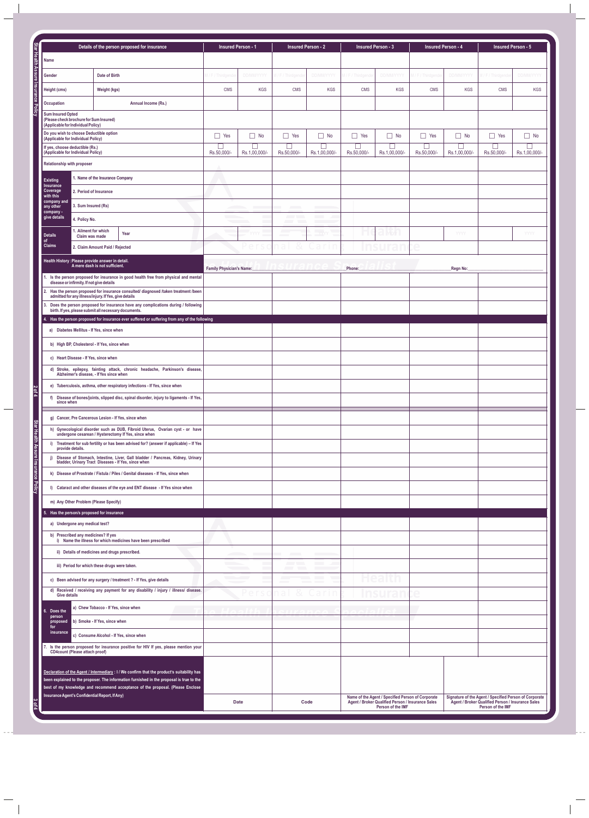|                                     | g) Cancer, Pre Cancerous Lesion - If Yes, since when                                                                                                                                    |                          |                                                                                                                                                                                                                                                                                                                                                                                                                                                                                                                                                                                                                              |                                                                                                                             |                                                                                                                                  |
|-------------------------------------|-----------------------------------------------------------------------------------------------------------------------------------------------------------------------------------------|--------------------------|------------------------------------------------------------------------------------------------------------------------------------------------------------------------------------------------------------------------------------------------------------------------------------------------------------------------------------------------------------------------------------------------------------------------------------------------------------------------------------------------------------------------------------------------------------------------------------------------------------------------------|-----------------------------------------------------------------------------------------------------------------------------|----------------------------------------------------------------------------------------------------------------------------------|
|                                     | h) Gynecological disorder such as DUB, Fibroid Uterus, Ovarian cyst - or have undergone cesarean / Hysterectomy If Yes, since when                                                      |                          |                                                                                                                                                                                                                                                                                                                                                                                                                                                                                                                                                                                                                              |                                                                                                                             |                                                                                                                                  |
| Star Health Assure Insurance Policy | i) Treatment for sub fertility or has been advised for? (answer if applicable) - If Yes<br>provide details.                                                                             |                          |                                                                                                                                                                                                                                                                                                                                                                                                                                                                                                                                                                                                                              |                                                                                                                             |                                                                                                                                  |
|                                     | Disease of Stomach, Intestine, Liver, Gall bladder / Pancreas, Kidney, Urinary<br>bladder, Urinary Tract Diseases - If Yes, since when<br>i)                                            |                          |                                                                                                                                                                                                                                                                                                                                                                                                                                                                                                                                                                                                                              |                                                                                                                             |                                                                                                                                  |
|                                     | k) Disease of Prostrate / Fistula / Piles / Genital diseases - If Yes, since when                                                                                                       |                          |                                                                                                                                                                                                                                                                                                                                                                                                                                                                                                                                                                                                                              |                                                                                                                             |                                                                                                                                  |
|                                     | I) Cataract and other diseases of the eye and ENT disease - If Yes since when                                                                                                           |                          |                                                                                                                                                                                                                                                                                                                                                                                                                                                                                                                                                                                                                              |                                                                                                                             |                                                                                                                                  |
|                                     | m) Any Other Problem (Please Specify)<br>5. Has the person/s proposed for insurance                                                                                                     |                          |                                                                                                                                                                                                                                                                                                                                                                                                                                                                                                                                                                                                                              |                                                                                                                             |                                                                                                                                  |
|                                     | a) Undergone any medical test?                                                                                                                                                          |                          |                                                                                                                                                                                                                                                                                                                                                                                                                                                                                                                                                                                                                              |                                                                                                                             |                                                                                                                                  |
|                                     | b) Prescribed any medicines? If yes<br>i) Name the illness for which medicines have been prescribed                                                                                     |                          |                                                                                                                                                                                                                                                                                                                                                                                                                                                                                                                                                                                                                              |                                                                                                                             |                                                                                                                                  |
|                                     | ii) Details of medicines and drugs prescribed.                                                                                                                                          | <b>Contract Contract</b> | <b>All Control</b><br><b>Contract Contract</b>                                                                                                                                                                                                                                                                                                                                                                                                                                                                                                                                                                               |                                                                                                                             |                                                                                                                                  |
|                                     | iii) Period for which these drugs were taken.                                                                                                                                           | <b>Contract Contract</b> | $\overline{\phantom{a}}$                                                                                                                                                                                                                                                                                                                                                                                                                                                                                                                                                                                                     |                                                                                                                             |                                                                                                                                  |
|                                     | c) Been advised for any surgery / treatment ? - If Yes, give details<br>d) Received / receiving any payment for any disability / injury / illness/ disease.                             |                          | and the control of the control of<br>$\begin{array}{cccccccccc} \hline \end{array} \qquad \qquad \begin{array}{cccccccccc} \hline \end{array} \qquad \qquad \begin{array}{cccccccccc} \hline \end{array} \qquad \qquad \begin{array}{cccccccccc} \hline \end{array} \qquad \qquad \begin{array}{cccccccccc} \hline \end{array} \qquad \qquad \begin{array}{cccccccccc} \hline \end{array} \qquad \qquad \begin{array}{cccccccccc} \hline \end{array} \qquad \qquad \begin{array}{cccccccccc} \hline \end{array} \qquad \qquad \begin{array}{cccccccccc} \hline \end{array} \qquad \qquad \begin{array}{cccccccccc} \hline \$ |                                                                                                                             |                                                                                                                                  |
|                                     | <b>Give details</b>                                                                                                                                                                     |                          | n a L<br>$\alpha$                                                                                                                                                                                                                                                                                                                                                                                                                                                                                                                                                                                                            | $\subset$                                                                                                                   |                                                                                                                                  |
|                                     | a) Chew Tobacco - If Yes, since when<br>6. Does the<br>person                                                                                                                           |                          |                                                                                                                                                                                                                                                                                                                                                                                                                                                                                                                                                                                                                              |                                                                                                                             |                                                                                                                                  |
|                                     | b) Smoke - If Yes, since when<br>proposed<br>for<br>insurance.<br>c) Consume Alcohol - If Yes, since when                                                                               |                          |                                                                                                                                                                                                                                                                                                                                                                                                                                                                                                                                                                                                                              |                                                                                                                             |                                                                                                                                  |
|                                     | 7. Is the person proposed for insurance positive for HIV If yes, please mention your                                                                                                    |                          |                                                                                                                                                                                                                                                                                                                                                                                                                                                                                                                                                                                                                              |                                                                                                                             |                                                                                                                                  |
|                                     | <b>CD4count (Please attach proof)</b>                                                                                                                                                   |                          |                                                                                                                                                                                                                                                                                                                                                                                                                                                                                                                                                                                                                              |                                                                                                                             |                                                                                                                                  |
|                                     | Declaration of the Agent / Intermediary : I / We confirm that the product's suitability has<br>been explained to the proposer. The information furnished in the proposal is true to the |                          |                                                                                                                                                                                                                                                                                                                                                                                                                                                                                                                                                                                                                              |                                                                                                                             |                                                                                                                                  |
|                                     | best of my knowledge and recommend acceptance of the proposal. (Please Enclose<br>Insurance Agent's Confidential Report, If Any)                                                        |                          |                                                                                                                                                                                                                                                                                                                                                                                                                                                                                                                                                                                                                              |                                                                                                                             |                                                                                                                                  |
| 30f4                                |                                                                                                                                                                                         | <b>Date</b>              | Code                                                                                                                                                                                                                                                                                                                                                                                                                                                                                                                                                                                                                         | Name of the Agent / Specified Person of Corporate<br>Agent / Broker Qualified Person / Insurance Sales<br>Person of the IMF | Signature of the Agent / Specified Person of Corporate<br>Agent / Broker Qualified Person / Insurance Sales<br>Person of the IMF |